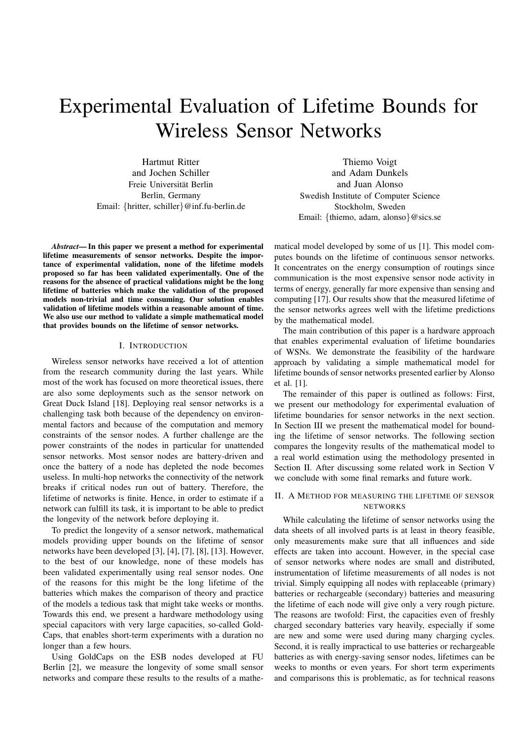# Experimental Evaluation of Lifetime Bounds for Wireless Sensor Networks

Hartmut Ritter and Jochen Schiller Freie Universität Berlin Berlin, Germany Email: {hritter, schiller}@inf.fu-berlin.de

*Abstract***— In this paper we present a method for experimental lifetime measurements of sensor networks. Despite the importance of experimental validation, none of the lifetime models proposed so far has been validated experimentally. One of the reasons for the absence of practical validations might be the long lifetime of batteries which make the validation of the proposed models non-trivial and time consuming. Our solution enables validation of lifetime models within a reasonable amount of time. We also use our method to validate a simple mathematical model that provides bounds on the lifetime of sensor networks.**

## I. INTRODUCTION

Wireless sensor networks have received a lot of attention from the research community during the last years. While most of the work has focused on more theoretical issues, there are also some deployments such as the sensor network on Great Duck Island [18]. Deploying real sensor networks is a challenging task both because of the dependency on environmental factors and because of the computation and memory constraints of the sensor nodes. A further challenge are the power constraints of the nodes in particular for unattended sensor networks. Most sensor nodes are battery-driven and once the battery of a node has depleted the node becomes useless. In multi-hop networks the connectivity of the network breaks if critical nodes run out of battery. Therefore, the lifetime of networks is finite. Hence, in order to estimate if a network can fulfill its task, it is important to be able to predict the longevity of the network before deploying it.

To predict the longevity of a sensor network, mathematical models providing upper bounds on the lifetime of sensor networks have been developed [3], [4], [7], [8], [13]. However, to the best of our knowledge, none of these models has been validated experimentally using real sensor nodes. One of the reasons for this might be the long lifetime of the batteries which makes the comparison of theory and practice of the models a tedious task that might take weeks or months. Towards this end, we present a hardware methodology using special capacitors with very large capacities, so-called Gold-Caps, that enables short-term experiments with a duration no longer than a few hours.

Using GoldCaps on the ESB nodes developed at FU Berlin [2], we measure the longevity of some small sensor networks and compare these results to the results of a mathe-

Thiemo Voigt and Adam Dunkels and Juan Alonso Swedish Institute of Computer Science Stockholm, Sweden Email: {thiemo, adam, alonso}@sics.se

matical model developed by some of us [1]. This model computes bounds on the lifetime of continuous sensor networks. It concentrates on the energy consumption of routings since communication is the most expensive sensor node activity in terms of energy, generally far more expensive than sensing and computing [17]. Our results show that the measured lifetime of the sensor networks agrees well with the lifetime predictions by the mathematical model.

The main contribution of this paper is a hardware approach that enables experimental evaluation of lifetime boundaries of WSNs. We demonstrate the feasibility of the hardware approach by validating a simple mathematical model for lifetime bounds of sensor networks presented earlier by Alonso et al. [1].

The remainder of this paper is outlined as follows: First, we present our methodology for experimental evaluation of lifetime boundaries for sensor networks in the next section. In Section III we present the mathematical model for bounding the lifetime of sensor networks. The following section compares the longevity results of the mathematical model to a real world estimation using the methodology presented in Section II. After discussing some related work in Section V we conclude with some final remarks and future work.

## II. A METHOD FOR MEASURING THE LIFETIME OF SENSOR NETWORKS

While calculating the lifetime of sensor networks using the data sheets of all involved parts is at least in theory feasible, only measurements make sure that all influences and side effects are taken into account. However, in the special case of sensor networks where nodes are small and distributed, instrumentation of lifetime measurements of all nodes is not trivial. Simply equipping all nodes with replaceable (primary) batteries or rechargeable (secondary) batteries and measuring the lifetime of each node will give only a very rough picture. The reasons are twofold: First, the capacities even of freshly charged secondary batteries vary heavily, especially if some are new and some were used during many charging cycles. Second, it is really impractical to use batteries or rechargeable batteries as with energy-saving sensor nodes, lifetimes can be weeks to months or even years. For short term experiments and comparisons this is problematic, as for technical reasons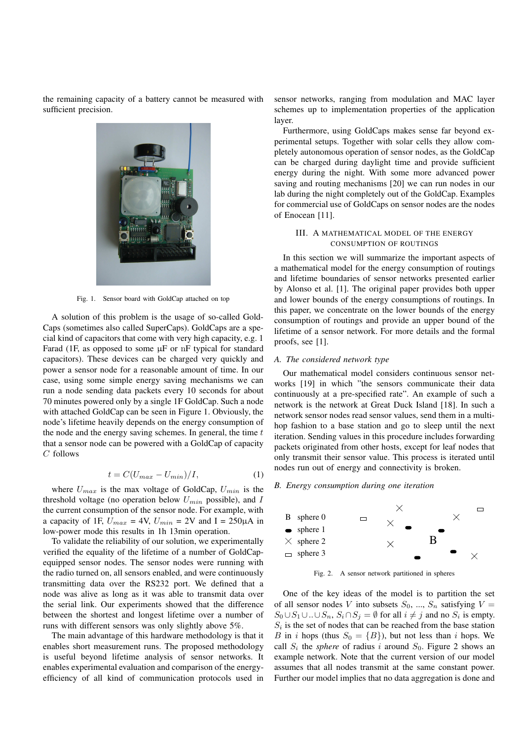the remaining capacity of a battery cannot be measured with sufficient precision.



Fig. 1. Sensor board with GoldCap attached on top

A solution of this problem is the usage of so-called Gold-Caps (sometimes also called SuperCaps). GoldCaps are a special kind of capacitors that come with very high capacity, e.g. 1 Farad (1F, as opposed to some  $\mu$ F or nF typical for standard capacitors). These devices can be charged very quickly and power a sensor node for a reasonable amount of time. In our case, using some simple energy saving mechanisms we can run a node sending data packets every 10 seconds for about 70 minutes powered only by a single 1F GoldCap. Such a node with attached GoldCap can be seen in Figure 1. Obviously, the node's lifetime heavily depends on the energy consumption of the node and the energy saving schemes. In general, the time  $t$ that a sensor node can be powered with a GoldCap of capacity C follows

$$
t = C(U_{max} - U_{min})/I,
$$
\n(1)

where  $U_{max}$  is the max voltage of GoldCap,  $U_{min}$  is the threshold voltage (no operation below  $U_{min}$  possible), and  $I$ the current consumption of the sensor node. For example, with a capacity of 1F,  $U_{max} = 4V$ ,  $U_{min} = 2V$  and  $I = 250 \mu A$  in low-power mode this results in 1h 13min operation.

To validate the reliability of our solution, we experimentally verified the equality of the lifetime of a number of GoldCapequipped sensor nodes. The sensor nodes were running with the radio turned on, all sensors enabled, and were continuously transmitting data over the RS232 port. We defined that a node was alive as long as it was able to transmit data over the serial link. Our experiments showed that the difference between the shortest and longest lifetime over a number of runs with different sensors was only slightly above 5%.

The main advantage of this hardware methodology is that it enables short measurement runs. The proposed methodology is useful beyond lifetime analysis of sensor networks. It enables experimental evaluation and comparison of the energyefficiency of all kind of communication protocols used in

sensor networks, ranging from modulation and MAC layer schemes up to implementation properties of the application layer.

Furthermore, using GoldCaps makes sense far beyond experimental setups. Together with solar cells they allow completely autonomous operation of sensor nodes, as the GoldCap can be charged during daylight time and provide sufficient energy during the night. With some more advanced power saving and routing mechanisms [20] we can run nodes in our lab during the night completely out of the GoldCap. Examples for commercial use of GoldCaps on sensor nodes are the nodes of Enocean [11].

## III. A MATHEMATICAL MODEL OF THE ENERGY CONSUMPTION OF ROUTINGS

In this section we will summarize the important aspects of a mathematical model for the energy consumption of routings and lifetime boundaries of sensor networks presented earlier by Alonso et al. [1]. The original paper provides both upper and lower bounds of the energy consumptions of routings. In this paper, we concentrate on the lower bounds of the energy consumption of routings and provide an upper bound of the lifetime of a sensor network. For more details and the formal proofs, see [1].

## *A. The considered network type*

Our mathematical model considers continuous sensor networks [19] in which "the sensors communicate their data continuously at a pre-specified rate". An example of such a network is the network at Great Duck Island [18]. In such a network sensor nodes read sensor values, send them in a multihop fashion to a base station and go to sleep until the next iteration. Sending values in this procedure includes forwarding packets originated from other hosts, except for leaf nodes that only transmit their sensor value. This process is iterated until nodes run out of energy and connectivity is broken.

## *B. Energy consumption during one iteration*



Fig. 2. A sensor network partitioned in spheres

One of the key ideas of the model is to partition the set of all sensor nodes V into subsets  $S_0$ , ...,  $S_n$  satisfying  $V =$  $S_0 \cup S_1 \cup ... \cup S_n$ ,  $S_i \cap S_j = \emptyset$  for all  $i \neq j$  and no  $S_i$  is empty.  $S_i$  is the set of nodes that can be reached from the base station B in i hops (thus  $S_0 = \{B\}$ ), but not less than i hops. We call  $S_i$  the *sphere* of radius i around  $S_0$ . Figure 2 shows an example network. Note that the current version of our model assumes that all nodes transmit at the same constant power. Further our model implies that no data aggregation is done and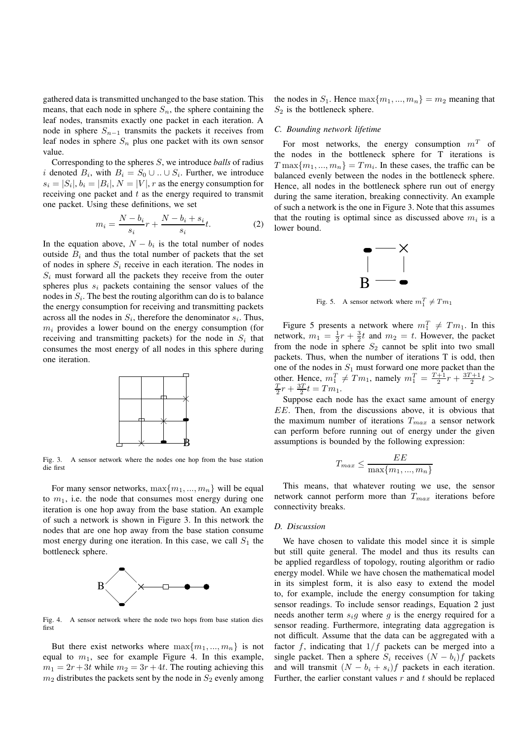gathered data is transmitted unchanged to the base station. This means, that each node in sphere  $S_n$ , the sphere containing the leaf nodes, transmits exactly one packet in each iteration. A node in sphere  $S_{n-1}$  transmits the packets it receives from leaf nodes in sphere  $S_n$  plus one packet with its own sensor value.

Corresponding to the spheres S, we introduce *balls* of radius i denoted  $B_i$ , with  $B_i = S_0 \cup ... \cup S_i$ . Further, we introduce  $s_i = |S_i|, b_i = |B_i|, N = |V|, r$  as the energy consumption for receiving one packet and  $t$  as the energy required to transmit one packet. Using these definitions, we set

$$
m_i = \frac{N - b_i}{s_i}r + \frac{N - b_i + s_i}{s_i}t.
$$
 (2)

In the equation above,  $N - b_i$  is the total number of nodes outside  $B_i$  and thus the total number of packets that the set of nodes in sphere  $S_i$  receive in each iteration. The nodes in  $S_i$  must forward all the packets they receive from the outer spheres plus  $s_i$  packets containing the sensor values of the nodes in  $S_i$ . The best the routing algorithm can do is to balance the energy consumption for receiving and transmitting packets across all the nodes in  $S_i$ , therefore the denominator  $s_i$ . Thus,  $m_i$  provides a lower bound on the energy consumption (for receiving and transmitting packets) for the node in  $S_i$  that consumes the most energy of all nodes in this sphere during one iteration.



Fig. 3. A sensor network where the nodes one hop from the base station die first

For many sensor networks,  $\max\{m_1, ..., m_n\}$  will be equal to  $m_1$ , i.e. the node that consumes most energy during one iteration is one hop away from the base station. An example of such a network is shown in Figure 3. In this network the nodes that are one hop away from the base station consume most energy during one iteration. In this case, we call  $S_1$  the bottleneck sphere.



Fig. 4. A sensor network where the node two hops from base station dies first

But there exist networks where  $\max\{m_1, ..., m_n\}$  is not equal to  $m_1$ , see for example Figure 4. In this example,  $m_1 = 2r + 3t$  while  $m_2 = 3r + 4t$ . The routing achieving this  $m_2$  distributes the packets sent by the node in  $S_2$  evenly among

the nodes in  $S_1$ . Hence  $\max\{m_1, ..., m_n\} = m_2$  meaning that  $S_2$  is the bottleneck sphere.

## *C. Bounding network lifetime*

For most networks, the energy consumption  $m<sup>T</sup>$  of the nodes in the bottleneck sphere for T iterations is  $T \max\{m_1, ..., m_n\} = Tm_i$ . In these cases, the traffic can be balanced evenly between the nodes in the bottleneck sphere. Hence, all nodes in the bottleneck sphere run out of energy during the same iteration, breaking connectivity. An example of such a network is the one in Figure 3. Note that this assumes that the routing is optimal since as discussed above  $m_i$  is a lower bound.



Fig. 5. A sensor network where  $m_1^T \neq Tm_1$ 

Figure 5 presents a network where  $m_1^T \neq Tm_1$ . In this network,  $m_1 = \frac{1}{2}r + \frac{3}{2}t$  and  $m_2 = t$ . However, the packet from the node in sphere  $S_2$  cannot be split into two small packets. Thus, when the number of iterations T is odd, then one of the nodes in  $S_1$  must forward one more packet than the other. Hence,  $m_1^T \neq Tm_1$ , namely  $m_1^T = \frac{T+1}{2}r + \frac{3T+1}{2}t >$  $\frac{T}{2}r + \frac{3T}{2}t = Tm_1.$ 

Suppose each node has the exact same amount of energy EE. Then, from the discussions above, it is obvious that the maximum number of iterations  $T_{max}$  a sensor network can perform before running out of energy under the given assumptions is bounded by the following expression:

$$
T_{max} \le \frac{EE}{\max\{m_1, ..., m_n\}}
$$

This means, that whatever routing we use, the sensor network cannot perform more than  $T_{max}$  iterations before connectivity breaks.

## *D. Discussion*

We have chosen to validate this model since it is simple but still quite general. The model and thus its results can be applied regardless of topology, routing algorithm or radio energy model. While we have chosen the mathematical model in its simplest form, it is also easy to extend the model to, for example, include the energy consumption for taking sensor readings. To include sensor readings, Equation 2 just needs another term  $s_i q$  where q is the energy required for a sensor reading. Furthermore, integrating data aggregation is not difficult. Assume that the data can be aggregated with a factor f, indicating that  $1/f$  packets can be merged into a single packet. Then a sphere  $S_i$  receives  $(N - b_i)f$  packets and will transmit  $(N - b_i + s_i)f$  packets in each iteration. Further, the earlier constant values  $r$  and  $t$  should be replaced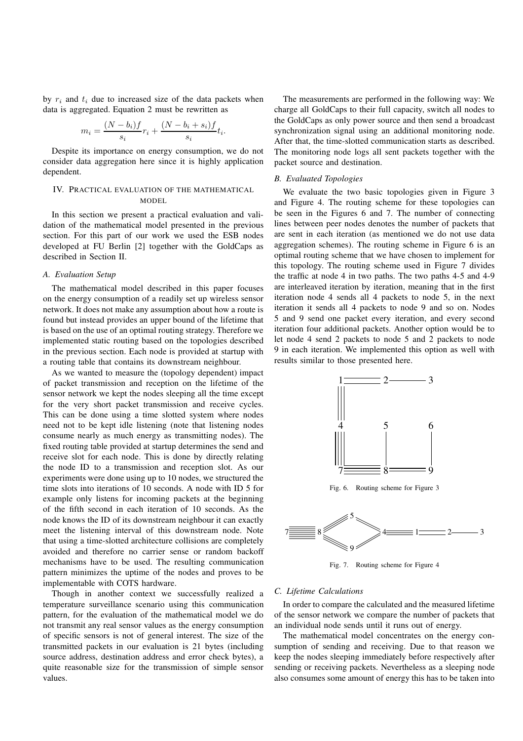by  $r_i$  and  $t_i$  due to increased size of the data packets when data is aggregated. Equation 2 must be rewritten as

$$
m_i = \frac{(N - b_i)f}{s_i}r_i + \frac{(N - b_i + s_i)f}{s_i}t_i.
$$

Despite its importance on energy consumption, we do not consider data aggregation here since it is highly application dependent.

## IV. PRACTICAL EVALUATION OF THE MATHEMATICAL MODEL

In this section we present a practical evaluation and validation of the mathematical model presented in the previous section. For this part of our work we used the ESB nodes developed at FU Berlin [2] together with the GoldCaps as described in Section II.

# *A. Evaluation Setup*

The mathematical model described in this paper focuses on the energy consumption of a readily set up wireless sensor network. It does not make any assumption about how a route is found but instead provides an upper bound of the lifetime that is based on the use of an optimal routing strategy. Therefore we implemented static routing based on the topologies described in the previous section. Each node is provided at startup with a routing table that contains its downstream neighbour.

As we wanted to measure the (topology dependent) impact of packet transmission and reception on the lifetime of the sensor network we kept the nodes sleeping all the time except for the very short packet transmission and receive cycles. This can be done using a time slotted system where nodes need not to be kept idle listening (note that listening nodes consume nearly as much energy as transmitting nodes). The fixed routing table provided at startup determines the send and receive slot for each node. This is done by directly relating the node ID to a transmission and reception slot. As our experiments were done using up to 10 nodes, we structured the time slots into iterations of 10 seconds. A node with ID 5 for example only listens for incoming packets at the beginning of the fifth second in each iteration of 10 seconds. As the node knows the ID of its downstream neighbour it can exactly meet the listening interval of this downstream node. Note that using a time-slotted architecture collisions are completely avoided and therefore no carrier sense or random backoff mechanisms have to be used. The resulting communication pattern minimizes the uptime of the nodes and proves to be implementable with COTS hardware.

Though in another context we successfully realized a temperature surveillance scenario using this communication pattern, for the evaluation of the mathematical model we do not transmit any real sensor values as the energy consumption of specific sensors is not of general interest. The size of the transmitted packets in our evaluation is 21 bytes (including source address, destination address and error check bytes), a quite reasonable size for the transmission of simple sensor values.

The measurements are performed in the following way: We charge all GoldCaps to their full capacity, switch all nodes to the GoldCaps as only power source and then send a broadcast synchronization signal using an additional monitoring node. After that, the time-slotted communication starts as described. The monitoring node logs all sent packets together with the packet source and destination.

## *B. Evaluated Topologies*

We evaluate the two basic topologies given in Figure 3 and Figure 4. The routing scheme for these topologies can be seen in the Figures 6 and 7. The number of connecting lines between peer nodes denotes the number of packets that are sent in each iteration (as mentioned we do not use data aggregation schemes). The routing scheme in Figure 6 is an optimal routing scheme that we have chosen to implement for this topology. The routing scheme used in Figure 7 divides the traffic at node 4 in two paths. The two paths 4-5 and 4-9 are interleaved iteration by iteration, meaning that in the first iteration node 4 sends all 4 packets to node 5, in the next iteration it sends all 4 packets to node 9 and so on. Nodes 5 and 9 send one packet every iteration, and every second iteration four additional packets. Another option would be to let node 4 send 2 packets to node 5 and 2 packets to node 9 in each iteration. We implemented this option as well with results similar to those presented here.



Fig. 7. Routing scheme for Figure 4

## *C. Lifetime Calculations*

In order to compare the calculated and the measured lifetime of the sensor network we compare the number of packets that an individual node sends until it runs out of energy.

The mathematical model concentrates on the energy consumption of sending and receiving. Due to that reason we keep the nodes sleeping immediately before respectively after sending or receiving packets. Nevertheless as a sleeping node also consumes some amount of energy this has to be taken into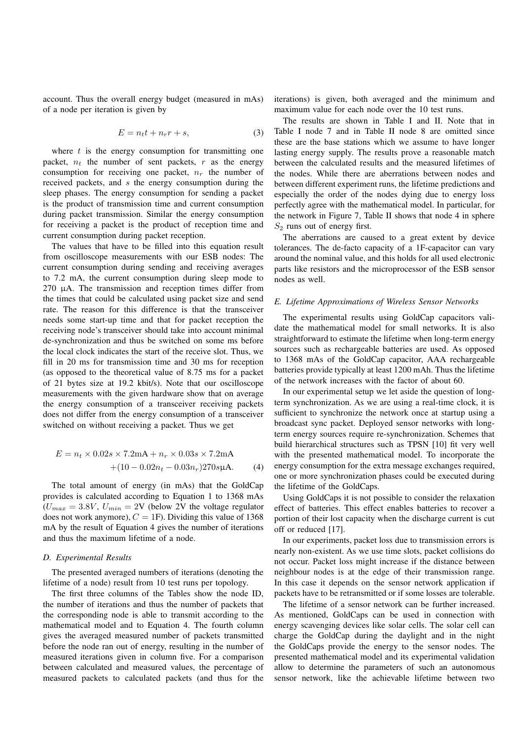account. Thus the overall energy budget (measured in mAs) of a node per iteration is given by

$$
E = n_t t + n_r r + s,\t\t(3)
$$

where  $t$  is the energy consumption for transmitting one packet,  $n_t$  the number of sent packets, r as the energy consumption for receiving one packet,  $n_r$  the number of received packets, and s the energy consumption during the sleep phases. The energy consumption for sending a packet is the product of transmission time and current consumption during packet transmission. Similar the energy consumption for receiving a packet is the product of reception time and current consumption during packet reception.

The values that have to be filled into this equation result from oscilloscope measurements with our ESB nodes: The current consumption during sending and receiving averages to 7.2 mA, the current consumption during sleep mode to 270 µA. The transmission and reception times differ from the times that could be calculated using packet size and send rate. The reason for this difference is that the transceiver needs some start-up time and that for packet reception the receiving node's transceiver should take into account minimal de-synchronization and thus be switched on some ms before the local clock indicates the start of the receive slot. Thus, we fill in 20 ms for transmission time and 30 ms for reception (as opposed to the theoretical value of 8.75 ms for a packet of 21 bytes size at 19.2 kbit/s). Note that our oscilloscope measurements with the given hardware show that on average the energy consumption of a transceiver receiving packets does not differ from the energy consumption of a transceiver switched on without receiving a packet. Thus we get

$$
E = n_t \times 0.02s \times 7.2mA + n_r \times 0.03s \times 7.2mA
$$
  
+(10 - 0.02n<sub>t</sub> - 0.03n<sub>r</sub>)270sµA. (4)

The total amount of energy (in mAs) that the GoldCap provides is calculated according to Equation 1 to 1368 mAs  $(U_{max} = 3.8V, U_{min} = 2V$  (below 2V the voltage regulator does not work anymore),  $C = 1$ F). Dividing this value of 1368 mA by the result of Equation 4 gives the number of iterations and thus the maximum lifetime of a node.

### *D. Experimental Results*

The presented averaged numbers of iterations (denoting the lifetime of a node) result from 10 test runs per topology.

The first three columns of the Tables show the node ID, the number of iterations and thus the number of packets that the corresponding node is able to transmit according to the mathematical model and to Equation 4. The fourth column gives the averaged measured number of packets transmitted before the node ran out of energy, resulting in the number of measured iterations given in column five. For a comparison between calculated and measured values, the percentage of measured packets to calculated packets (and thus for the

iterations) is given, both averaged and the minimum and maximum value for each node over the 10 test runs.

The results are shown in Table I and II. Note that in Table I node 7 and in Table II node 8 are omitted since these are the base stations which we assume to have longer lasting energy supply. The results prove a reasonable match between the calculated results and the measured lifetimes of the nodes. While there are aberrations between nodes and between different experiment runs, the lifetime predictions and especially the order of the nodes dying due to energy loss perfectly agree with the mathematical model. In particular, for the network in Figure 7, Table II shows that node 4 in sphere  $S_2$  runs out of energy first.

The aberrations are caused to a great extent by device tolerances. The de-facto capacity of a 1F-capacitor can vary around the nominal value, and this holds for all used electronic parts like resistors and the microprocessor of the ESB sensor nodes as well.

## *E. Lifetime Approximations of Wireless Sensor Networks*

The experimental results using GoldCap capacitors validate the mathematical model for small networks. It is also straightforward to estimate the lifetime when long-term energy sources such as rechargeable batteries are used. As opposed to 1368 mAs of the GoldCap capacitor, AAA rechargeable batteries provide typically at least 1200 mAh. Thus the lifetime of the network increases with the factor of about 60.

In our experimental setup we let aside the question of longterm synchronization. As we are using a real-time clock, it is sufficient to synchronize the network once at startup using a broadcast sync packet. Deployed sensor networks with longterm energy sources require re-synchronization. Schemes that build hierarchical structures such as TPSN [10] fit very well with the presented mathematical model. To incorporate the energy consumption for the extra message exchanges required, one or more synchronization phases could be executed during the lifetime of the GoldCaps.

Using GoldCaps it is not possible to consider the relaxation effect of batteries. This effect enables batteries to recover a portion of their lost capacity when the discharge current is cut off or reduced [17].

In our experiments, packet loss due to transmission errors is nearly non-existent. As we use time slots, packet collisions do not occur. Packet loss might increase if the distance between neighbour nodes is at the edge of their transmission range. In this case it depends on the sensor network application if packets have to be retransmitted or if some losses are tolerable.

The lifetime of a sensor network can be further increased. As mentioned, GoldCaps can be used in connection with energy scavenging devices like solar cells. The solar cell can charge the GoldCap during the daylight and in the night the GoldCaps provide the energy to the sensor nodes. The presented mathematical model and its experimental validation allow to determine the parameters of such an autonomous sensor network, like the achievable lifetime between two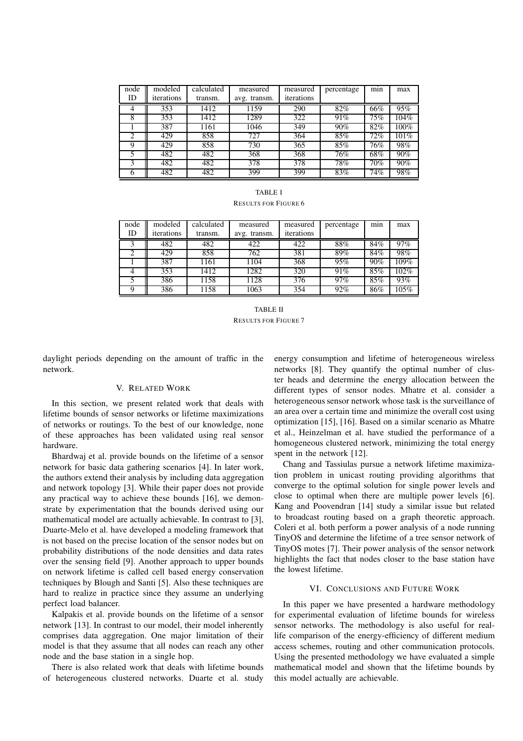| node<br>ID | modeled<br>iterations | calculated<br>transm. | measured<br>avg. transm. | measured<br>iterations | percentage | min    | max  |
|------------|-----------------------|-----------------------|--------------------------|------------------------|------------|--------|------|
| 4          | 353                   | 1412                  | 1159                     | 290                    | 82%        | 66%    | 95%  |
| 8          | 353                   | 1412                  | 1289                     | 322                    | 91%        | $75\%$ | 104% |
|            | 387                   | 1161                  | 1046                     | 349                    | $90\%$     | 82%    | 100% |
|            | 429                   | 858                   | 727                      | 364                    | 85%        | 72%    | 101% |
| 9          | 429                   | 858                   | 730                      | 365                    | 85%        | 76%    | 98%  |
|            | 482                   | 482                   | 368                      | 368                    | 76%        | 68%    | 90%  |
|            | 482                   | 482                   | 378                      | 378                    | 78%        | 70%    | 90%  |
|            | 482                   | 482                   | 399                      | 399                    | 83%        | 74%    | 98%  |

| <b>TABLE I</b>       |  |  |  |  |  |  |  |
|----------------------|--|--|--|--|--|--|--|
| Results for Figure 6 |  |  |  |  |  |  |  |

| node | modeled    | calculated | measured     | measured   | percentage | min | max  |
|------|------------|------------|--------------|------------|------------|-----|------|
| ID   | iterations | transm.    | avg. transm. | iterations |            |     |      |
|      | 482        | 482        | 422          | 422        | 88%        | 84% | 97%  |
|      | 429        | 858        | 762          | 381        | 89%        | 84% | 98%  |
|      | 387        | 1161       | 1104         | 368        | 95%        | 90% | 109% |
|      | 353        | 1412       | 1282         | 320        | 91%        | 85% | 102% |
|      | 386        | 1158       | 1128         | 376        | 97%        | 85% | 93%  |
|      | 386        | 1158       | 1063         | 354        | 92%        | 86% | 105% |

TABLE II RESULTS FOR FIGURE 7

daylight periods depending on the amount of traffic in the network.

## V. RELATED WORK

In this section, we present related work that deals with lifetime bounds of sensor networks or lifetime maximizations of networks or routings. To the best of our knowledge, none of these approaches has been validated using real sensor hardware.

Bhardwaj et al. provide bounds on the lifetime of a sensor network for basic data gathering scenarios [4]. In later work, the authors extend their analysis by including data aggregation and network topology [3]. While their paper does not provide any practical way to achieve these bounds [16], we demonstrate by experimentation that the bounds derived using our mathematical model are actually achievable. In contrast to [3], Duarte-Melo et al. have developed a modeling framework that is not based on the precise location of the sensor nodes but on probability distributions of the node densities and data rates over the sensing field [9]. Another approach to upper bounds on network lifetime is called cell based energy conservation techniques by Blough and Santi [5]. Also these techniques are hard to realize in practice since they assume an underlying perfect load balancer.

Kalpakis et al. provide bounds on the lifetime of a sensor network [13]. In contrast to our model, their model inherently comprises data aggregation. One major limitation of their model is that they assume that all nodes can reach any other node and the base station in a single hop.

There is also related work that deals with lifetime bounds of heterogeneous clustered networks. Duarte et al. study

energy consumption and lifetime of heterogeneous wireless networks [8]. They quantify the optimal number of cluster heads and determine the energy allocation between the different types of sensor nodes. Mhatre et al. consider a heterogeneous sensor network whose task is the surveillance of an area over a certain time and minimize the overall cost using optimization [15], [16]. Based on a similar scenario as Mhatre et al., Heinzelman et al. have studied the performance of a homogeneous clustered network, minimizing the total energy spent in the network [12].

Chang and Tassiulas pursue a network lifetime maximization problem in unicast routing providing algorithms that converge to the optimal solution for single power levels and close to optimal when there are multiple power levels [6]. Kang and Poovendran [14] study a similar issue but related to broadcast routing based on a graph theoretic approach. Coleri et al. both perform a power analysis of a node running TinyOS and determine the lifetime of a tree sensor network of TinyOS motes [7]. Their power analysis of the sensor network highlights the fact that nodes closer to the base station have the lowest lifetime.

### VI. CONCLUSIONS AND FUTURE WORK

In this paper we have presented a hardware methodology for experimental evaluation of lifetime bounds for wireless sensor networks. The methodology is also useful for reallife comparison of the energy-efficiency of different medium access schemes, routing and other communication protocols. Using the presented methodology we have evaluated a simple mathematical model and shown that the lifetime bounds by this model actually are achievable.